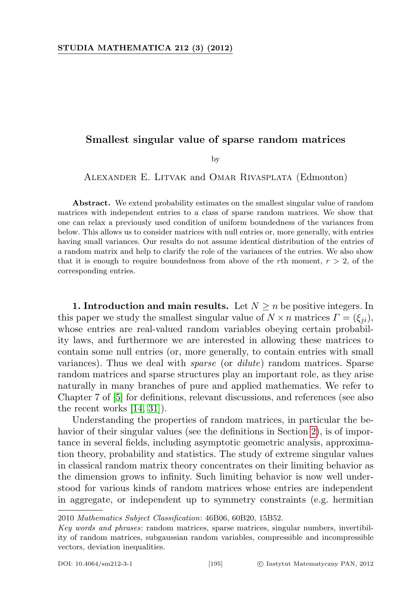## Smallest singular value of sparse random matrices

by

Alexander E. Litvak and Omar Rivasplata (Edmonton)

Abstract. We extend probability estimates on the smallest singular value of random matrices with independent entries to a class of sparse random matrices. We show that one can relax a previously used condition of uniform boundedness of the variances from below. This allows us to consider matrices with null entries or, more generally, with entries having small variances. Our results do not assume identical distribution of the entries of a random matrix and help to clarify the role of the variances of the entries. We also show that it is enough to require boundedness from above of the rth moment,  $r > 2$ , of the corresponding entries.

1. Introduction and main results. Let  $N \geq n$  be positive integers. In this paper we study the smallest singular value of  $N \times n$  matrices  $\Gamma = (\xi_{ii})$ , whose entries are real-valued random variables obeying certain probability laws, and furthermore we are interested in allowing these matrices to contain some null entries (or, more generally, to contain entries with small variances). Thus we deal with sparse (or dilute) random matrices. Sparse random matrices and sparse structures play an important role, as they arise naturally in many branches of pure and applied mathematics. We refer to Chapter 7 of [\[5\]](#page-21-0) for definitions, relevant discussions, and references (see also the recent works [\[14,](#page-22-0) [31\]](#page-23-0)).

Understanding the properties of random matrices, in particular the behavior of their singular values (see the definitions in Section [2\)](#page-5-0), is of importance in several fields, including asymptotic geometric analysis, approximation theory, probability and statistics. The study of extreme singular values in classical random matrix theory concentrates on their limiting behavior as the dimension grows to infinity. Such limiting behavior is now well understood for various kinds of random matrices whose entries are independent in aggregate, or independent up to symmetry constraints (e.g. hermitian

<sup>2010</sup> Mathematics Subject Classification: 46B06, 60B20, 15B52.

Key words and phrases: random matrices, sparse matrices, singular numbers, invertibility of random matrices, subgaussian random variables, compressible and incompressible vectors, deviation inequalities.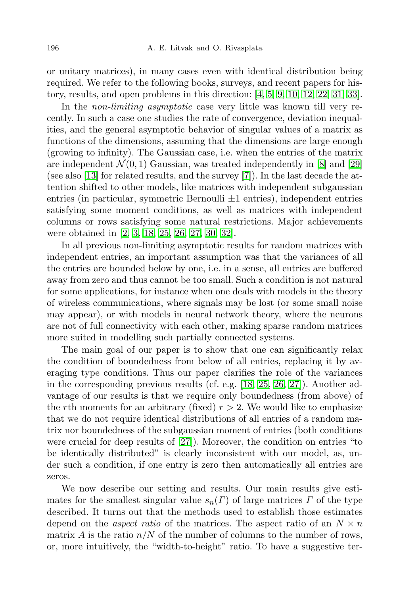or unitary matrices), in many cases even with identical distribution being required. We refer to the following books, surveys, and recent papers for history, results, and open problems in this direction: [\[4,](#page-21-1) [5,](#page-21-0) [9,](#page-22-1) [10,](#page-22-2) [12,](#page-22-3) [22,](#page-22-4) [31,](#page-23-0) [33\]](#page-23-1).

In the *non-limiting asymptotic* case very little was known till very recently. In such a case one studies the rate of convergence, deviation inequalities, and the general asymptotic behavior of singular values of a matrix as functions of the dimensions, assuming that the dimensions are large enough (growing to infinity). The Gaussian case, i.e. when the entries of the matrix are independent  $\mathcal{N}(0, 1)$  Gaussian, was treated independently in [\[8\]](#page-22-5) and [\[29\]](#page-22-6) (see also [\[13\]](#page-22-7) for related results, and the survey [\[7\]](#page-22-8)). In the last decade the attention shifted to other models, like matrices with independent subgaussian entries (in particular, symmetric Bernoulli  $\pm 1$  entries), independent entries satisfying some moment conditions, as well as matrices with independent columns or rows satisfying some natural restrictions. Major achievements were obtained in [\[2,](#page-21-2) [3,](#page-21-3) [18,](#page-22-9) [25,](#page-22-10) [26,](#page-22-11) [27,](#page-22-12) [30,](#page-23-2) [32\]](#page-23-3).

In all previous non-limiting asymptotic results for random matrices with independent entries, an important assumption was that the variances of all the entries are bounded below by one, i.e. in a sense, all entries are buffered away from zero and thus cannot be too small. Such a condition is not natural for some applications, for instance when one deals with models in the theory of wireless communications, where signals may be lost (or some small noise may appear), or with models in neural network theory, where the neurons are not of full connectivity with each other, making sparse random matrices more suited in modelling such partially connected systems.

The main goal of our paper is to show that one can significantly relax the condition of boundedness from below of all entries, replacing it by averaging type conditions. Thus our paper clarifies the role of the variances in the corresponding previous results (cf. e.g. [\[18,](#page-22-9) [25,](#page-22-10) [26,](#page-22-11) [27\]](#page-22-12)). Another advantage of our results is that we require only boundedness (from above) of the rth moments for an arbitrary (fixed)  $r > 2$ . We would like to emphasize that we do not require identical distributions of all entries of a random matrix nor boundedness of the subgaussian moment of entries (both conditions were crucial for deep results of [\[27\]](#page-22-12)). Moreover, the condition on entries "to be identically distributed" is clearly inconsistent with our model, as, under such a condition, if one entry is zero then automatically all entries are zeros.

We now describe our setting and results. Our main results give estimates for the smallest singular value  $s_n(\Gamma)$  of large matrices  $\Gamma$  of the type described. It turns out that the methods used to establish those estimates depend on the *aspect ratio* of the matrices. The aspect ratio of an  $N \times n$ matrix A is the ratio  $n/N$  of the number of columns to the number of rows, or, more intuitively, the "width-to-height" ratio. To have a suggestive ter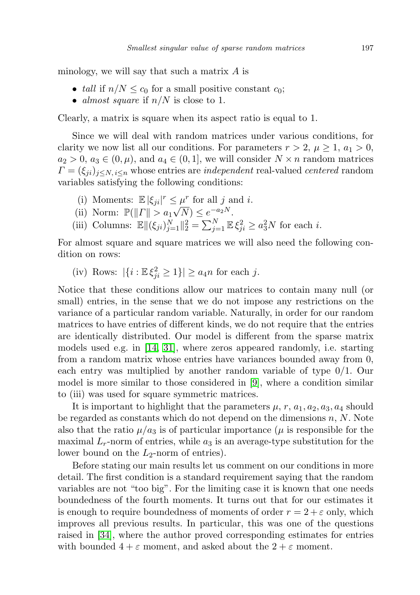minology, we will say that such a matrix  $A$  is

- tall if  $n/N \leq c_0$  for a small positive constant  $c_0$ ;
- almost square if  $n/N$  is close to 1.

Clearly, a matrix is square when its aspect ratio is equal to 1.

Since we will deal with random matrices under various conditions, for clarity we now list all our conditions. For parameters  $r > 2$ ,  $\mu \geq 1$ ,  $a_1 > 0$ ,  $a_2 > 0$ ,  $a_3 \in (0, \mu)$ , and  $a_4 \in (0, 1]$ , we will consider  $N \times n$  random matrices  $\Gamma = (\xi_{ji})_{i \leq N, i \leq n}$  whose entries are *independent* real-valued *centered* random variables satisfying the following conditions:

- (i) Moments:  $\mathbb{E} |\xi_{ji}|^r \leq \mu^r$  for all j and i.
- (i) Moments.  $\mathbb{E} |\varsigma_{ji}| \geq k$ <br>(ii) Norm:  $\mathbb{P}(\Vert \Gamma \Vert > a_1 \sqrt{k})$  $\overline{N}) \leq e^{-a_2 N}.$
- (iii) Columns:  $\mathbb{E} \| (\xi_{ji})_{j=1}^N \|_2^2 = \sum_{j=1}^N \mathbb{E} \xi_{ji}^2 \ge a_3^2 N$  for each *i*.

For almost square and square matrices we will also need the following condition on rows:

(iv) Rows:  $|\{i : \mathbb{E}\xi_{ji}^2 \geq 1\}| \geq a_4 n$  for each j.

Notice that these conditions allow our matrices to contain many null (or small) entries, in the sense that we do not impose any restrictions on the variance of a particular random variable. Naturally, in order for our random matrices to have entries of different kinds, we do not require that the entries are identically distributed. Our model is different from the sparse matrix models used e.g. in [\[14,](#page-22-0) [31\]](#page-23-0), where zeros appeared randomly, i.e. starting from a random matrix whose entries have variances bounded away from 0, each entry was multiplied by another random variable of type 0/1. Our model is more similar to those considered in [\[9\]](#page-22-1), where a condition similar to (iii) was used for square symmetric matrices.

It is important to highlight that the parameters  $\mu$ ,  $r$ ,  $a_1$ ,  $a_2$ ,  $a_3$ ,  $a_4$  should be regarded as constants which do not depend on the dimensions  $n, N$ . Note also that the ratio  $\mu/a_3$  is of particular importance ( $\mu$  is responsible for the maximal  $L_r$ -norm of entries, while  $a_3$  is an average-type substitution for the lower bound on the  $L_2$ -norm of entries).

Before stating our main results let us comment on our conditions in more detail. The first condition is a standard requirement saying that the random variables are not "too big". For the limiting case it is known that one needs boundedness of the fourth moments. It turns out that for our estimates it is enough to require boundedness of moments of order  $r = 2 + \varepsilon$  only, which improves all previous results. In particular, this was one of the questions raised in [\[34\]](#page-23-4), where the author proved corresponding estimates for entries with bounded  $4 + \varepsilon$  moment, and asked about the  $2 + \varepsilon$  moment.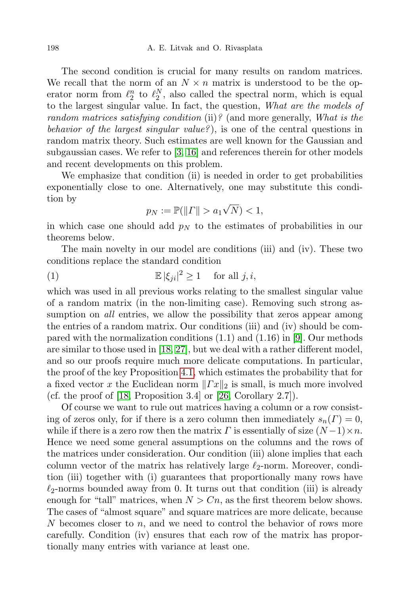The second condition is crucial for many results on random matrices. We recall that the norm of an  $N \times n$  matrix is understood to be the operator norm from  $\ell_2^n$  to  $\ell_2^N$ , also called the spectral norm, which is equal to the largest singular value. In fact, the question, What are the models of random matrices satisfying condition (ii)? (and more generally, What is the behavior of the largest singular value?), is one of the central questions in random matrix theory. Such estimates are well known for the Gaussian and subgaussian cases. We refer to [\[3,](#page-21-3) [16\]](#page-22-13) and references therein for other models and recent developments on this problem.

We emphasize that condition (ii) is needed in order to get probabilities exponentially close to one. Alternatively, one may substitute this condition by √

<span id="page-3-0"></span>
$$
p_N := \mathbb{P}(\| \Gamma \| > a_1 \sqrt{N}) < 1,
$$

in which case one should add  $p<sub>N</sub>$  to the estimates of probabilities in our theorems below.

The main novelty in our model are conditions (iii) and (iv). These two conditions replace the standard condition

(1) 
$$
\mathbb{E} |\xi_{ji}|^2 \ge 1 \quad \text{for all } j, i,
$$

which was used in all previous works relating to the smallest singular value of a random matrix (in the non-limiting case). Removing such strong assumption on all entries, we allow the possibility that zeros appear among the entries of a random matrix. Our conditions (iii) and (iv) should be compared with the normalization conditions  $(1.1)$  and  $(1.16)$  in [\[9\]](#page-22-1). Our methods are similar to those used in [\[18,](#page-22-9) [27\]](#page-22-12), but we deal with a rather different model, and so our proofs require much more delicate computations. In particular, the proof of the key Proposition [4.1,](#page-11-0) which estimates the probability that for a fixed vector x the Euclidean norm  $||Tx||_2$  is small, is much more involved (cf. the proof of [\[18,](#page-22-9) Proposition 3.4] or [\[26,](#page-22-11) Corollary 2.7]).

Of course we want to rule out matrices having a column or a row consisting of zeros only, for if there is a zero column then immediately  $s_n(\Gamma) = 0$ , while if there is a zero row then the matrix  $\Gamma$  is essentially of size  $(N-1)\times n$ . Hence we need some general assumptions on the columns and the rows of the matrices under consideration. Our condition (iii) alone implies that each column vector of the matrix has relatively large  $\ell_2$ -norm. Moreover, condition (iii) together with (i) guarantees that proportionally many rows have  $\ell_2$ -norms bounded away from 0. It turns out that condition (iii) is already enough for "tall" matrices, when  $N > Cn$ , as the first theorem below shows. The cases of "almost square" and square matrices are more delicate, because  $N$  becomes closer to  $n$ , and we need to control the behavior of rows more carefully. Condition (iv) ensures that each row of the matrix has proportionally many entries with variance at least one.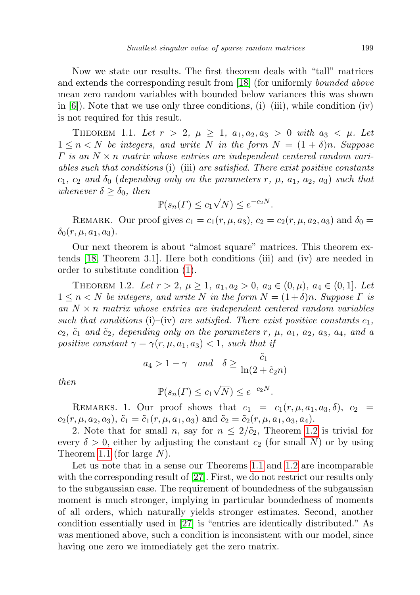Now we state our results. The first theorem deals with "tall" matrices and extends the corresponding result from [\[18\]](#page-22-9) (for uniformly *bounded above* mean zero random variables with bounded below variances this was shown in  $[6]$ ). Note that we use only three conditions,  $(i)$ – $(iii)$ , while condition  $(iv)$ is not required for this result.

<span id="page-4-1"></span>THEOREM 1.1. Let  $r > 2$ ,  $\mu \geq 1$ ,  $a_1, a_2, a_3 > 0$  with  $a_3 < \mu$ . Let  $1 \leq n \leq N$  be integers, and write N in the form  $N = (1 + \delta)n$ . Suppose  $\Gamma$  is an  $N \times n$  matrix whose entries are independent centered random variables such that conditions (i)–(iii) are satisfied. There exist positive constants  $c_1, c_2$  and  $\delta_0$  (depending only on the parameters r,  $\mu$ ,  $a_1$ ,  $a_2$ ,  $a_3$ ) such that whenever  $\delta \geq \delta_0$ , then √

$$
\mathbb{P}(s_n(\Gamma) \le c_1 \sqrt{N}) \le e^{-c_2 N}.
$$

REMARK. Our proof gives  $c_1 = c_1(r, \mu, a_3)$ ,  $c_2 = c_2(r, \mu, a_2, a_3)$  and  $\delta_0 =$  $\delta_0(r, \mu, a_1, a_3).$ 

Our next theorem is about "almost square" matrices. This theorem extends [\[18,](#page-22-9) Theorem 3.1]. Here both conditions (iii) and (iv) are needed in order to substitute condition [\(1\)](#page-3-0).

<span id="page-4-0"></span>THEOREM 1.2. Let  $r > 2$ ,  $\mu \geq 1$ ,  $a_1, a_2 > 0$ ,  $a_3 \in (0, \mu)$ ,  $a_4 \in (0, 1]$ . Let  $1 \leq n \leq N$  be integers, and write N in the form  $N = (1+\delta)n$ . Suppose  $\Gamma$  is an  $N \times n$  matrix whose entries are independent centered random variables such that conditions (i)–(iv) are satisfied. There exist positive constants  $c_1$ ,  $c_2$ ,  $\tilde{c}_1$  and  $\tilde{c}_2$ , depending only on the parameters r,  $\mu$ ,  $a_1$ ,  $a_2$ ,  $a_3$ ,  $a_4$ , and a positive constant  $\gamma = \gamma(r, \mu, a_1, a_3) < 1$ , such that if

$$
a_4 > 1 - \gamma
$$
 and  $\delta \ge \frac{\tilde{c}_1}{\ln(2 + \tilde{c}_2 n)}$ 

then

$$
\mathbb{P}(s_n(\Gamma) \le c_1 \sqrt{N}) \le e^{-c_2 N}.
$$

REMARKS. 1. Our proof shows that  $c_1 = c_1(r, \mu, a_1, a_3, \delta)$ ,  $c_2 =$  $c_2(r, \mu, a_2, a_3), \tilde{c}_1 = \tilde{c}_1(r, \mu, a_1, a_3)$  and  $\tilde{c}_2 = \tilde{c}_2(r, \mu, a_1, a_3, a_4).$ 

2. Note that for small n, say for  $n \leq 2/\tilde{c}_2$ , Theorem [1.2](#page-4-0) is trivial for every  $\delta > 0$ , either by adjusting the constant  $c_2$  (for small N) or by using Theorem [1.1](#page-4-1) (for large N).

Let us note that in a sense our Theorems [1.1](#page-4-1) and [1.2](#page-4-0) are incomparable with the corresponding result of [\[27\]](#page-22-12). First, we do not restrict our results only to the subgaussian case. The requirement of boundedness of the subgaussian moment is much stronger, implying in particular boundedness of moments of all orders, which naturally yields stronger estimates. Second, another condition essentially used in [\[27\]](#page-22-12) is "entries are identically distributed." As was mentioned above, such a condition is inconsistent with our model, since having one zero we immediately get the zero matrix.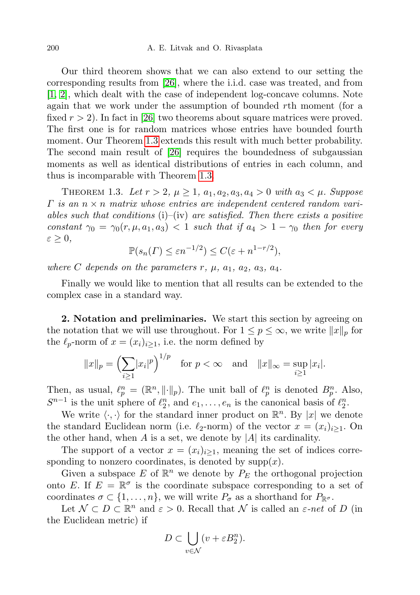Our third theorem shows that we can also extend to our setting the corresponding results from [\[26\]](#page-22-11), where the i.i.d. case was treated, and from [\[1,](#page-21-4) [2\]](#page-21-2), which dealt with the case of independent log-concave columns. Note again that we work under the assumption of bounded rth moment (for a fixed  $r > 2$ ). In fact in [\[26\]](#page-22-11) two theorems about square matrices were proved. The first one is for random matrices whose entries have bounded fourth moment. Our Theorem [1.3](#page-5-1) extends this result with much better probability. The second main result of [\[26\]](#page-22-11) requires the boundedness of subgaussian moments as well as identical distributions of entries in each column, and thus is incomparable with Theorem [1.3.](#page-5-1)

<span id="page-5-1"></span>THEOREM 1.3. Let  $r > 2$ ,  $\mu \geq 1$ ,  $a_1, a_2, a_3, a_4 > 0$  with  $a_3 < \mu$ . Suppose  $\Gamma$  is an  $n \times n$  matrix whose entries are independent centered random variables such that conditions  $(i)$ – $(iv)$  are satisfied. Then there exists a positive constant  $\gamma_0 = \gamma_0(r, \mu, a_1, a_3) < 1$  such that if  $a_4 > 1 - \gamma_0$  then for every  $\varepsilon \geq 0$ ,

$$
\mathbb{P}(s_n(\Gamma) \le \varepsilon n^{-1/2}) \le C(\varepsilon + n^{1-r/2}),
$$

where C depends on the parameters  $r, \mu, a_1, a_2, a_3, a_4$ .

Finally we would like to mention that all results can be extended to the complex case in a standard way.

<span id="page-5-0"></span>2. Notation and preliminaries. We start this section by agreeing on the notation that we will use throughout. For  $1 \leq p \leq \infty$ , we write  $||x||_p$  for the  $\ell_p$ -norm of  $x = (x_i)_{i>1}$ , i.e. the norm defined by

$$
||x||_p = \left(\sum_{i\geq 1} |x_i|^p\right)^{1/p}
$$
 for  $p < \infty$  and  $||x||_{\infty} = \sup_{i\geq 1} |x_i|$ .

Then, as usual,  $\ell_p^n = (\mathbb{R}^n, \|\cdot\|_p)$ . The unit ball of  $\ell_p^n$  is denoted  $B_p^n$ . Also,  $S^{n-1}$  is the unit sphere of  $\ell_2^n$ , and  $e_1, \ldots, e_n$  is the canonical basis of  $\ell_2^n$ .

We write  $\langle \cdot, \cdot \rangle$  for the standard inner product on  $\mathbb{R}^n$ . By |x| we denote the standard Euclidean norm (i.e.  $\ell_2$ -norm) of the vector  $x = (x_i)_{i\geq 1}$ . On the other hand, when  $A$  is a set, we denote by  $|A|$  its cardinality.

The support of a vector  $x = (x_i)_{i\geq 1}$ , meaning the set of indices corresponding to nonzero coordinates, is denoted by  $supp(x)$ .

Given a subspace  $E$  of  $\mathbb{R}^n$  we denote by  $P_E$  the orthogonal projection onto E. If  $E = \mathbb{R}^{\sigma}$  is the coordinate subspace corresponding to a set of coordinates  $\sigma \subset \{1, \ldots, n\}$ , we will write  $P_{\sigma}$  as a shorthand for  $P_{\mathbb{R}^{\sigma}}$ .

Let  $\mathcal{N} \subset D \subset \mathbb{R}^n$  and  $\varepsilon > 0$ . Recall that  $\mathcal{N}$  is called an  $\varepsilon$ -net of D (in the Euclidean metric) if

$$
D \subset \bigcup_{v \in \mathcal{N}} (v + \varepsilon B_2^n).
$$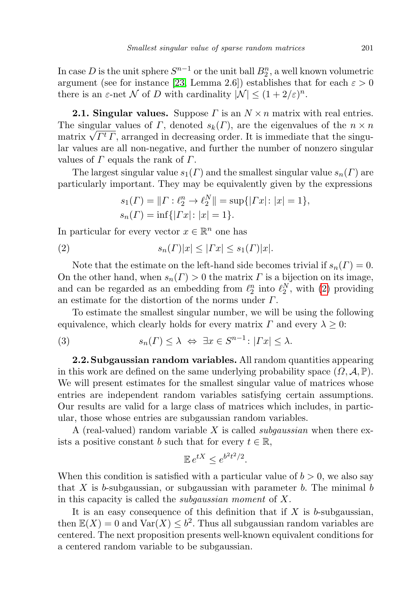In case D is the unit sphere  $S^{n-1}$  or the unit ball  $B_2^n$ , a well known volumetric argument (see for instance [\[23,](#page-22-15) Lemma 2.6]) establishes that for each  $\varepsilon > 0$ there is an  $\varepsilon$ -net N of D with cardinality  $|\mathcal{N}| \leq (1+2/\varepsilon)^n$ .

**2.1. Singular values.** Suppose  $\Gamma$  is an  $N \times n$  matrix with real entries. The singular values of  $\Gamma$ , denoted  $s_k(\Gamma)$ , are the eigenvalues of the  $n \times n$ The singular values of I, denoted  $s_k(I)$ , are the eigenvalues of the  $n \times n$  matrix  $\sqrt{\Gamma^t \Gamma}$ , arranged in decreasing order. It is immediate that the singular values are all non-negative, and further the number of nonzero singular values of  $\Gamma$  equals the rank of  $\Gamma$ .

The largest singular value  $s_1(\Gamma)$  and the smallest singular value  $s_n(\Gamma)$  are particularly important. They may be equivalently given by the expressions

<span id="page-6-0"></span>
$$
s_1(\Gamma) = ||\Gamma : \ell_2^n \to \ell_2^N|| = \sup\{|Tx| : |x| = 1\},
$$
  

$$
s_n(\Gamma) = \inf\{|Tx| : |x| = 1\}.
$$

In particular for every vector  $x \in \mathbb{R}^n$  one has

$$
(2) \t\t s_n(\Gamma)|x| \leq |\Gamma x| \leq s_1(\Gamma)|x|.
$$

Note that the estimate on the left-hand side becomes trivial if  $s_n(\Gamma) = 0$ . On the other hand, when  $s_n(\Gamma) > 0$  the matrix  $\Gamma$  is a bijection on its image, and can be regarded as an embedding from  $\ell_2^n$  into  $\ell_2^N$ , with [\(2\)](#page-6-0) providing an estimate for the distortion of the norms under Γ.

To estimate the smallest singular number, we will be using the following equivalence, which clearly holds for every matrix  $\Gamma$  and every  $\lambda \geq 0$ :

<span id="page-6-1"></span>(3) 
$$
s_n(\Gamma) \leq \lambda \iff \exists x \in S^{n-1} : |\Gamma x| \leq \lambda.
$$

2.2. Subgaussian random variables. All random quantities appearing in this work are defined on the same underlying probability space  $(\Omega, \mathcal{A}, \mathbb{P})$ . We will present estimates for the smallest singular value of matrices whose entries are independent random variables satisfying certain assumptions. Our results are valid for a large class of matrices which includes, in particular, those whose entries are subgaussian random variables.

A (real-valued) random variable X is called *subgaussian* when there exists a positive constant b such that for every  $t \in \mathbb{R}$ ,

$$
\mathbb{E} \, e^{tX} \le e^{b^2 t^2/2}.
$$

When this condition is satisfied with a particular value of  $b > 0$ , we also say that X is b-subgaussian, or subgaussian with parameter b. The minimal b in this capacity is called the subgaussian moment of X.

It is an easy consequence of this definition that if  $X$  is b-subgaussian, then  $\mathbb{E}(X) = 0$  and  $\text{Var}(X) \leq b^2$ . Thus all subgaussian random variables are centered. The next proposition presents well-known equivalent conditions for a centered random variable to be subgaussian.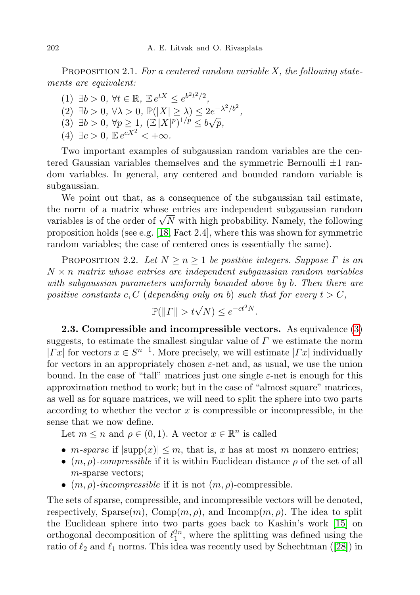PROPOSITION 2.1. For a centered random variable  $X$ , the following statements are equivalent:

(1)  $\exists b > 0, \forall t \in \mathbb{R}, \mathbb{E} e^{tX} \leq e^{b^2t^2/2},$ (2)  $\exists b > 0, \forall \lambda > 0, \mathbb{P}(|X| \geq \lambda) \leq 2e^{-\lambda^2/b^2}$ , (2)  $\exists b > 0, \forall p \ge 1, (\mathbb{E}|X|^p)^{1/p} \le b\sqrt{p},$ (4)  $\exists c > 0, \mathbb{E} e^{cX^2} < +\infty$ .

Two important examples of subgaussian random variables are the centered Gaussian variables themselves and the symmetric Bernoulli  $\pm 1$  random variables. In general, any centered and bounded random variable is subgaussian.

We point out that, as a consequence of the subgaussian tail estimate, the norm of a matrix whose entries are independent subgaussian random the norm of a matrix whose entries are independent subgaussian random<br>variables is of the order of  $\sqrt{N}$  with high probability. Namely, the following proposition holds (see e.g. [\[18,](#page-22-9) Fact 2.4], where this was shown for symmetric random variables; the case of centered ones is essentially the same).

PROPOSITION 2.2. Let  $N \geq n \geq 1$  be positive integers. Suppose  $\Gamma$  is an  $N \times n$  matrix whose entries are independent subgaussian random variables with subgaussian parameters uniformly bounded above by b. Then there are positive constants c, C (depending only on b) such that for every  $t > C$ ,

$$
\mathbb{P}(\|T\| > t\sqrt{N}) \le e^{-ct^2N}.
$$

2.3. Compressible and incompressible vectors. As equivalence [\(3\)](#page-6-1) suggests, to estimate the smallest singular value of  $\Gamma$  we estimate the norm  $|Tx|$  for vectors  $x \in S^{n-1}$ . More precisely, we will estimate  $|Tx|$  individually for vectors in an appropriately chosen  $\varepsilon$ -net and, as usual, we use the union bound. In the case of "tall" matrices just one single  $\varepsilon$ -net is enough for this approximation method to work; but in the case of "almost square" matrices, as well as for square matrices, we will need to split the sphere into two parts according to whether the vector  $x$  is compressible or incompressible, in the sense that we now define.

Let  $m \leq n$  and  $\rho \in (0, 1)$ . A vector  $x \in \mathbb{R}^n$  is called

- *m-sparse* if  $|\text{supp}(x)| \leq m$ , that is, x has at most m nonzero entries;
- $(m, \rho)$ -compressible if it is within Euclidean distance  $\rho$  of the set of all m-sparse vectors;
- $(m, \rho)$ -incompressible if it is not  $(m, \rho)$ -compressible.

The sets of sparse, compressible, and incompressible vectors will be denoted, respectively,  $\text{Sparse}(m)$ ,  $\text{Comp}(m, \rho)$ , and  $\text{Incomp}(m, \rho)$ . The idea to split the Euclidean sphere into two parts goes back to Kashin's work [\[15\]](#page-22-16) on orthogonal decomposition of  $\ell_1^{2n}$ , where the splitting was defined using the ratio of  $\ell_2$  and  $\ell_1$  norms. This idea was recently used by Schechtman ([\[28\]](#page-22-17)) in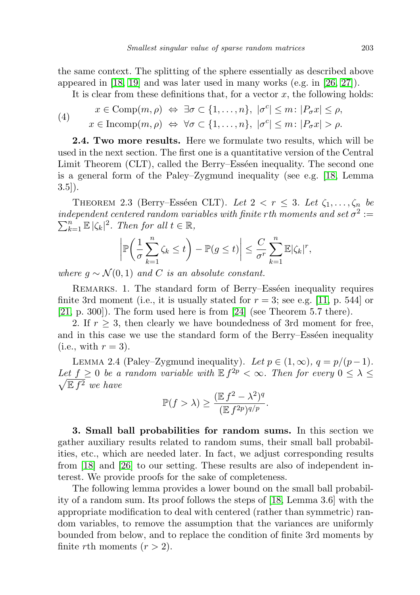the same context. The splitting of the sphere essentially as described above appeared in [\[18,](#page-22-9) [19\]](#page-22-18) and was later used in many works (e.g. in [\[26,](#page-22-11) [27\]](#page-22-12)).

It is clear from these definitions that, for a vector  $x$ , the following holds:

<span id="page-8-2"></span>(4) 
$$
x \in \text{Comp}(m, \rho) \Leftrightarrow \exists \sigma \subset \{1, ..., n\}, |\sigma^c| \leq m : |P_{\sigma}x| \leq \rho,
$$
  
\n $x \in \text{Incomp}(m, \rho) \Leftrightarrow \forall \sigma \subset \{1, ..., n\}, |\sigma^c| \leq m : |P_{\sigma}x| > \rho.$ 

2.4. Two more results. Here we formulate two results, which will be used in the next section. The first one is a quantitative version of the Central Limit Theorem (CLT), called the Berry–Esséen inequality. The second one is a general form of the Paley–Zygmund inequality (see e.g. [\[18,](#page-22-9) Lemma  $3.5$ ].

<span id="page-8-1"></span>THEOREM 2.3 (Berry–Esséen CLT). Let  $2 < r \leq 3$ . Let  $\zeta_1, \ldots, \zeta_n$  be  $independent\ centered\ random\ variables\ with\ finite\ rth\ moments\ and\ set\ \sigma^2:=$  $\sum_{k=1}^{n} \mathbb{E} |\zeta_k|^2$ . Then for all  $t \in \mathbb{R}$ ,

$$
\left|\mathbb{P}\left(\frac{1}{\sigma}\sum_{k=1}^n\zeta_k\leq t\right)-\mathbb{P}(g\leq t)\right|\leq \frac{C}{\sigma^r}\sum_{k=1}^n\mathbb{E}|\zeta_k|^r,
$$

where  $g \sim \mathcal{N}(0, 1)$  and C is an absolute constant.

REMARKS. 1. The standard form of Berry–Esséen inequality requires finite 3rd moment (i.e., it is usually stated for  $r = 3$ ; see e.g. [\[11,](#page-22-19) p. 544] or [\[21,](#page-22-20) p. 300]). The form used here is from [\[24\]](#page-22-21) (see Theorem 5.7 there).

2. If  $r > 3$ , then clearly we have boundedness of 3rd moment for free, and in this case we use the standard form of the Berry–Esséen inequality  $(i.e., with r = 3).$ 

<span id="page-8-0"></span>LEMMA 2.4 (Paley–Zygmund inequality). Let  $p \in (1,\infty)$ ,  $q = p/(p-1)$ . Let  $f \geq 0$  be a random variable with  $\mathbb{E} f^{2p} < \infty$ . Then for every  $0 \leq \lambda \leq$  $\sqrt{\mathbb{E} f^2}$  we have

$$
\mathbb{P}(f > \lambda) \ge \frac{(\mathbb{E} f^2 - \lambda^2)^q}{(\mathbb{E} f^{2p})^{q/p}}.
$$

3. Small ball probabilities for random sums. In this section we gather auxiliary results related to random sums, their small ball probabilities, etc., which are needed later. In fact, we adjust corresponding results from [\[18\]](#page-22-9) and [\[26\]](#page-22-11) to our setting. These results are also of independent interest. We provide proofs for the sake of completeness.

<span id="page-8-3"></span>The following lemma provides a lower bound on the small ball probability of a random sum. Its proof follows the steps of [\[18,](#page-22-9) Lemma 3.6] with the appropriate modification to deal with centered (rather than symmetric) random variables, to remove the assumption that the variances are uniformly bounded from below, and to replace the condition of finite 3rd moments by finite *r*th moments  $(r > 2)$ .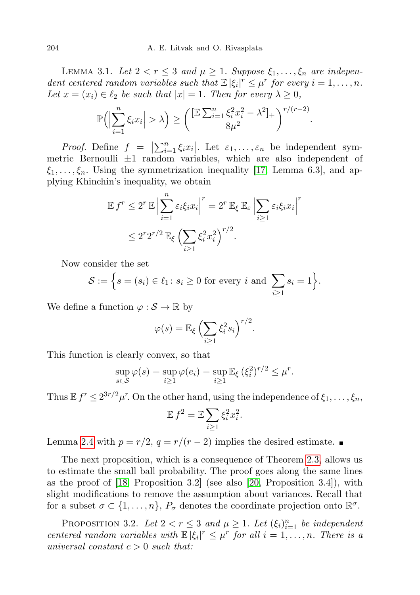LEMMA 3.1. Let  $2 < r \leq 3$  and  $\mu \geq 1$ . Suppose  $\xi_1, \ldots, \xi_n$  are independent centered random variables such that  $\mathbb{E} |\xi_i|^r \leq \mu^r$  for every  $i = 1, \ldots, n$ . Let  $x = (x_i) \in \ell_2$  be such that  $|x| = 1$ . Then for every  $\lambda \geq 0$ ,

$$
\mathbb{P}\Big(\Big|\sum_{i=1}^n \xi_i x_i\Big| > \lambda\Big) \ge \bigg(\frac{[\mathbb{E}\sum_{i=1}^n \xi_i^2 x_i^2 - \lambda^2]_+}{8\mu^2}\bigg)^{r/(r-2)}.
$$

Proof. Define  $f = |\sum_{i=1}^n \xi_i x_i|$ . Let  $\varepsilon_1, \ldots, \varepsilon_n$  be independent symmetric Bernoulli  $\pm 1$  random variables, which are also independent of  $\xi_1, \ldots, \xi_n$ . Using the symmetrization inequality [\[17,](#page-22-22) Lemma 6.3], and applying Khinchin's inequality, we obtain

$$
\mathbb{E} f^r \le 2^r \mathbb{E} \left| \sum_{i=1}^n \varepsilon_i \xi_i x_i \right|^r = 2^r \mathbb{E}_{\xi} \mathbb{E}_{\varepsilon} \left| \sum_{i \ge 1} \varepsilon_i \xi_i x_i \right|^r
$$
  

$$
\le 2^r 2^{r/2} \mathbb{E}_{\xi} \left( \sum_{i \ge 1} \xi_i^2 x_i^2 \right)^{r/2}.
$$

Now consider the set

$$
\mathcal{S} := \Big\{ s = (s_i) \in \ell_1 \colon s_i \geq 0 \text{ for every } i \text{ and } \sum_{i \geq 1} s_i = 1 \Big\}.
$$

We define a function  $\varphi : \mathcal{S} \to \mathbb{R}$  by

$$
\varphi(s) = \mathbb{E}_{\xi} \left( \sum_{i \geq 1} \xi_i^2 s_i \right)^{r/2}.
$$

This function is clearly convex, so that

$$
\sup_{s \in \mathcal{S}} \varphi(s) = \sup_{i \ge 1} \varphi(e_i) = \sup_{i \ge 1} \mathbb{E}_{\xi} (\xi_i^2)^{r/2} \le \mu^r.
$$

Thus  $\mathbb{E} f^r \leq 2^{3r/2} \mu^r$ . On the other hand, using the independence of  $\xi_1, \ldots, \xi_n$ ,

$$
\mathbb{E} f^2 = \mathbb{E} \sum_{i \ge 1} \xi_i^2 x_i^2.
$$

Lemma [2.4](#page-8-0) with  $p = r/2$ ,  $q = r/(r-2)$  implies the desired estimate. ■

The next proposition, which is a consequence of Theorem [2.3,](#page-8-1) allows us to estimate the small ball probability. The proof goes along the same lines as the proof of  $[18,$  Proposition 3.2 (see also  $[20,$  Proposition 3.4), with slight modifications to remove the assumption about variances. Recall that for a subset  $\sigma \subset \{1, \ldots, n\}$ ,  $P_{\sigma}$  denotes the coordinate projection onto  $\mathbb{R}^{\sigma}$ .

<span id="page-9-0"></span>PROPOSITION 3.2. Let  $2 < r \leq 3$  and  $\mu \geq 1$ . Let  $(\xi_i)_{i=1}^n$  be independent centered random variables with  $\mathbb{E} |\xi_i|^r \leq \mu^r$  for all  $i = 1, \ldots, n$ . There is a universal constant  $c > 0$  such that: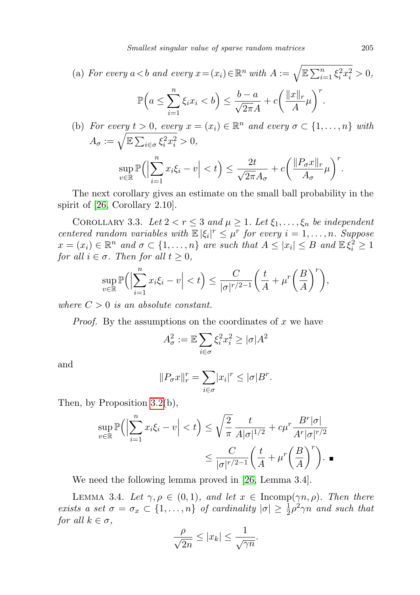(a) For every 
$$
a < b
$$
 and every  $x = (x_i) \in \mathbb{R}^n$  with  $A := \sqrt{\mathbb{E} \sum_{i=1}^n \xi_i^2 x_i^2} > 0$ ,  

$$
\mathbb{P}\left(a \le \sum_{i=1}^n \xi_i x_i < b\right) \le \frac{b-a}{\sqrt{2\pi}A} + c \left(\frac{\|x\|_r}{A} \mu\right)^r.
$$

(b) For every 
$$
t > 0
$$
, every  $x = (x_i) \in \mathbb{R}^n$  and every  $\sigma \subset \{1, ..., n\}$  with  
\n
$$
A_{\sigma} := \sqrt{\mathbb{E} \sum_{i \in \sigma} \xi_i^2 x_i^2} > 0,
$$
\n
$$
\sup_{v \in \mathbb{R}} \mathbb{P} \Big( \Big| \sum_{i=1}^n x_i \xi_i - v \Big| < t \Big) \le \frac{2t}{\sqrt{2\pi} A_{\sigma}} + c \Big( \frac{\|P_{\sigma} x\|_r}{A_{\sigma}} \mu \Big)^r.
$$

The next corollary gives an estimate on the small ball probability in the spirit of [\[26,](#page-22-11) Corollary 2.10].

<span id="page-10-1"></span>COROLLARY 3.3. Let  $2 < r \leq 3$  and  $\mu \geq 1$ . Let  $\xi_1, \ldots, \xi_n$  be independent centered random variables with  $\mathbb{E} |\xi_i|^r \leq \mu^r$  for every  $i = 1, \ldots, n$ . Suppose  $x = (x_i) \in \mathbb{R}^n$  and  $\sigma \subset \{1, \ldots, n\}$  are such that  $A \leq |x_i| \leq B$  and  $\mathbb{E}\xi_i^2 \geq 1$ for all  $i \in \sigma$ . Then for all  $t \geq 0$ ,

$$
\sup_{v \in \mathbb{R}} \mathbb{P}\Big(\Big|\sum_{i=1}^n x_i \xi_i - v\Big| < t\Big) \le \frac{C}{|\sigma|^{\frac{r}{2}-1}} \bigg(\frac{t}{A} + \mu^r \bigg(\frac{B}{A}\bigg)^r\bigg),
$$

where  $C > 0$  is an absolute constant.

*Proof.* By the assumptions on the coordinates of x we have

$$
A_{\sigma}^{2} := \mathbb{E} \sum_{i \in \sigma} \xi_{i}^{2} x_{i}^{2} \geq |\sigma| A^{2}
$$

and

$$
||P_{\sigma}x||_{r}^{r} = \sum_{i \in \sigma} |x_{i}|^{r} \leq |\sigma|B^{r}.
$$

Then, by Proposition [3.2\(](#page-9-0)b),

$$
\sup_{v \in \mathbb{R}} \mathbb{P}\Big(\Big|\sum_{i=1}^n x_i \xi_i - v\Big| < t\Big) \le \sqrt{\frac{2}{\pi}} \frac{t}{A|\sigma|^{1/2}} + c\mu^r \frac{B^r|\sigma|}{A^r|\sigma|^{r/2}} \le \frac{C}{|\sigma|^{r/2-1}} \left(\frac{t}{A} + \mu^r \left(\frac{B}{A}\right)^r\right). \blacksquare
$$

We need the following lemma proved in [\[26,](#page-22-11) Lemma 3.4].

<span id="page-10-0"></span>LEMMA 3.4. Let  $\gamma, \rho \in (0,1)$ , and let  $x \in \text{Incomp}(\gamma n, \rho)$ . Then there exists a set  $\sigma = \sigma_x \subset \{1, \ldots, n\}$  of cardinality  $|\sigma| \geq \frac{1}{2}\rho^2 \gamma n$  and such that for all  $k \in \sigma$ ,

$$
\frac{\rho}{\sqrt{2n}} \le |x_k| \le \frac{1}{\sqrt{\gamma n}}.
$$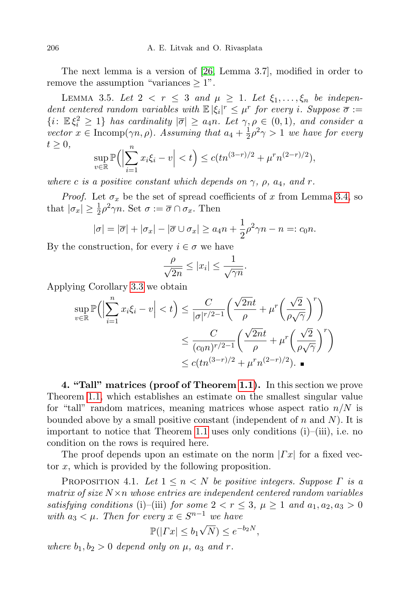The next lemma is a version of [\[26,](#page-22-11) Lemma 3.7], modified in order to remove the assumption "variances  $\geq 1$ ".

<span id="page-11-1"></span>LEMMA 3.5. Let  $2 < r \leq 3$  and  $\mu \geq 1$ . Let  $\xi_1, \ldots, \xi_n$  be independent centered random variables with  $\mathbb{E} |\xi_i|^r \leq \mu^r$  for every i. Suppose  $\overline{\sigma} :=$  $\{i: \mathbb{E}\xi_i^2 \geq 1\}$  has cardinality  $|\overline{\sigma}| \geq a_4n$ . Let  $\gamma, \rho \in (0,1)$ , and consider a vector  $x \in \text{Incomp}(\gamma n, \rho)$ . Assuming that  $a_4 + \frac{1}{2}$  $\frac{1}{2}\rho^2\gamma > 1$  we have for every  $t \geq 0$ ,

$$
\sup_{v \in \mathbb{R}} \mathbb{P}\Big(\Big|\sum_{i=1}^n x_i \xi_i - v\Big| < t\Big) \leq c (t n^{(3-r)/2} + \mu^r n^{(2-r)/2}),
$$

where c is a positive constant which depends on  $\gamma$ ,  $\rho$ ,  $a_4$ , and r.

*Proof.* Let  $\sigma_x$  be the set of spread coefficients of x from Lemma [3.4,](#page-10-0) so that  $|\sigma_x| \geq \frac{1}{2}\rho^2 \gamma n$ . Set  $\sigma := \overline{\sigma} \cap \sigma_x$ . Then

$$
|\sigma| = |\overline{\sigma}| + |\sigma_x| - |\overline{\sigma} \cup \sigma_x| \ge a_4 n + \frac{1}{2}\rho^2 \gamma n - n =: c_0 n.
$$

By the construction, for every  $i \in \sigma$  we have

$$
\frac{\rho}{\sqrt{2n}} \le |x_i| \le \frac{1}{\sqrt{\gamma n}}.
$$

Applying Corollary [3.3](#page-10-1) we obtain

$$
\sup_{v \in \mathbb{R}} \mathbb{P}\Big(\Big|\sum_{i=1}^n x_i \xi_i - v\Big| < t\Big) \le \frac{C}{|\sigma|^{r/2 - 1}} \Big(\frac{\sqrt{2nt}}{\rho} + \mu^r \Big(\frac{\sqrt{2}}{\rho \sqrt{\gamma}}\Big)^r \Big) \\
\le \frac{C}{(c_0 n)^{r/2 - 1}} \Big(\frac{\sqrt{2nt}}{\rho} + \mu^r \Big(\frac{\sqrt{2}}{\rho \sqrt{\gamma}}\Big)^r \Big) \\
\le c (tn^{(3-r)/2} + \mu^r n^{(2-r)/2}).
$$

4. "Tall" matrices (proof of Theorem [1.1\)](#page-4-1). In this section we prove Theorem [1.1,](#page-4-1) which establishes an estimate on the smallest singular value for "tall" random matrices, meaning matrices whose aspect ratio  $n/N$  is bounded above by a small positive constant (independent of n and  $N$ ). It is important to notice that Theorem [1.1](#page-4-1) uses only conditions (i)–(iii), i.e. no condition on the rows is required here.

The proof depends upon an estimate on the norm  $|Tx|$  for a fixed vector x, which is provided by the following proposition.

<span id="page-11-0"></span>PROPOSITION 4.1. Let  $1 \leq n \leq N$  be positive integers. Suppose  $\Gamma$  is a matrix of size  $N \times n$  whose entries are independent centered random variables satisfying conditions (i)–(iii) for some  $2 < r \leq 3$ ,  $\mu \geq 1$  and  $a_1, a_2, a_3 > 0$ with  $a_3 < \mu$ . Then for every  $x \in S^{n-1}$  we have

$$
\mathbb{P}(|Tx| \le b_1 \sqrt{N}) \le e^{-b_2 N},
$$

where  $b_1, b_2 > 0$  depend only on  $\mu$ ,  $a_3$  and  $r$ .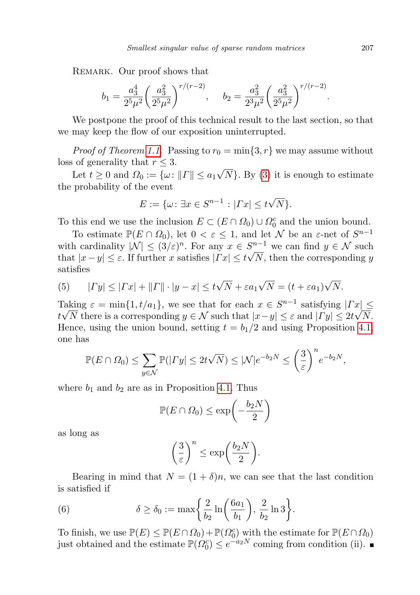REMARK. Our proof shows that

$$
b_1 = \frac{a_3^4}{2^5 \mu^2} \left(\frac{a_3^2}{2^5 \mu^2}\right)^{r/(r-2)}, \quad b_2 = \frac{a_3^2}{2^3 \mu^2} \left(\frac{a_3^2}{2^5 \mu^2}\right)^{r/(r-2)}
$$

We postpone the proof of this technical result to the last section, so that we may keep the flow of our exposition uninterrupted.

*Proof of Theorem [1.1.](#page-4-1)* Passing to  $r_0 = \min\{3, r\}$  we may assume without loss of generality that  $r \leq 3$ . √

Let  $t \geq 0$  and  $\Omega_0 := \{\omega : ||\Gamma|| \leq a_1\}$  $[N]$ . By  $(3)$  it is enough to estimate the probability of the event

$$
E := \{ \omega \colon \exists x \in S^{n-1} : |Tx| \le t\sqrt{N} \}.
$$

To this end we use the inclusion  $E \subset (E \cap \Omega_0) \cup \Omega_0^c$  and the union bound.

To estimate  $\mathbb{P}(E \cap \Omega_0)$ , let  $0 < \varepsilon \leq 1$ , and let N be an  $\varepsilon$ -net of  $S^{n-1}$ with cardinality  $|\mathcal{N}| \leq (3/\varepsilon)^n$ . For any  $x \in S^{n-1}$  we can find  $y \in \mathcal{N}$  such that  $|x-y| \leq \varepsilon$ . If further x satisfies  $|Tx| \leq t\sqrt{N}$ , then the corresponding y satisfies

(5) 
$$
|Ty| \leq |Tx| + ||T|| \cdot |y - x| \leq t\sqrt{N} + \varepsilon a_1 \sqrt{N} = (t + \varepsilon a_1)\sqrt{N}.
$$

Taking  $\varepsilon = \min\{1, t/a_1\}$ , we see that for each  $x \in S^{n-1}$  satisfying  $\left|\Gamma x\right| \leq$  $t\sqrt{N}$  there is a corresponding  $y\in\mathcal{N}$  such that  $|x-y|\leq\varepsilon$  and  $|\Gamma y|\leq 2t\sqrt{N}$ . Hence, using the union bound, setting  $t = b_1/2$  and using Proposition [4.1,](#page-11-0) one has

$$
\mathbb{P}(E \cap \Omega_0) \le \sum_{y \in \mathcal{N}} \mathbb{P}(|\Gamma y| \le 2t\sqrt{N}) \le |\mathcal{N}|e^{-b_2N} \le \left(\frac{3}{\varepsilon}\right)^n e^{-b_2N},
$$

where  $b_1$  and  $b_2$  are as in Proposition [4.1.](#page-11-0) Thus

$$
\mathbb{P}(E \cap \Omega_0) \le \exp\left(-\frac{b_2 N}{2}\right)
$$

as long as

$$
\left(\frac{3}{\varepsilon}\right)^n \le \exp\biggl(\frac{b_2N}{2}\biggr).
$$

Bearing in mind that  $N = (1 + \delta)n$ , we can see that the last condition is satisfied if

(6) 
$$
\delta \ge \delta_0 := \max\left\{\frac{2}{b_2}\ln\left(\frac{6a_1}{b_1}\right), \frac{2}{b_2}\ln 3\right\}.
$$

To finish, we use  $\mathbb{P}(E) \leq \mathbb{P}(E \cap \Omega_0) + \mathbb{P}(\Omega_0^c)$  with the estimate for  $\mathbb{P}(E \cap \Omega_0)$ just obtained and the estimate  $\mathbb{P}(\Omega_0^c) \leq e^{-a_2 N}$  coming from condition (ii).

.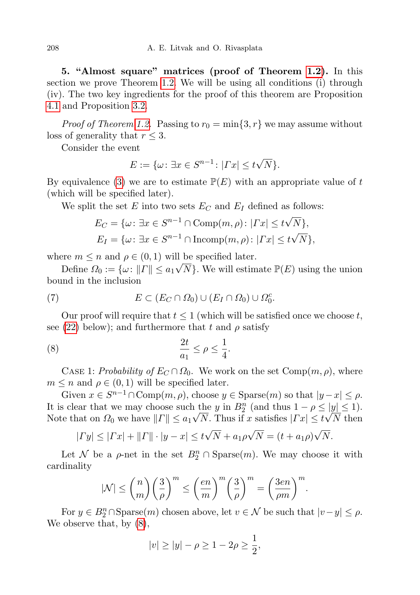5. "Almost square" matrices (proof of Theorem [1.2\)](#page-4-0). In this section we prove Theorem [1.2.](#page-4-0) We will be using all conditions (i) through (iv). The two key ingredients for the proof of this theorem are Proposition [4.1](#page-11-0) and Proposition [3.2.](#page-9-0)

*Proof of Theorem [1.2.](#page-4-0)* Passing to  $r_0 = \min\{3, r\}$  we may assume without loss of generality that  $r \leq 3$ .

Consider the event

$$
E := \{ \omega \colon \exists x \in S^{n-1} \colon |Tx| \le t\sqrt{N} \}.
$$

By equivalence [\(3\)](#page-6-1) we are to estimate  $\mathbb{P}(E)$  with an appropriate value of t (which will be specified later).

We split the set E into two sets  $E_C$  and  $E_I$  defined as follows:

$$
E_C = \{ \omega \colon \exists x \in S^{n-1} \cap \text{Comp}(m, \rho) \colon |Tx| \le t\sqrt{N} \},
$$
  
\n
$$
E_I = \{ \omega \colon \exists x \in S^{n-1} \cap \text{Incomp}(m, \rho) \colon |Tx| \le t\sqrt{N} \},
$$

where  $m \leq n$  and  $\rho \in (0, 1)$  will be specified later.

Define  $\Omega_0 := \{\omega: ||\Gamma|| \le a_1\sqrt{N}\}$ . We will estimate  $\mathbb{P}(E)$  using the union bound in the inclusion

<span id="page-13-1"></span>(7) 
$$
E \subset (E_C \cap \Omega_0) \cup (E_I \cap \Omega_0) \cup \Omega_0^c.
$$

Our proof will require that  $t \leq 1$  (which will be satisfied once we choose t, see [\(22\)](#page-17-0) below); and furthermore that t and  $\rho$  satisfy

<span id="page-13-0"></span>
$$
\frac{2t}{a_1} \le \rho \le \frac{1}{4}.
$$

CASE 1: Probability of  $E_C \cap \Omega_0$ . We work on the set Comp $(m, \rho)$ , where  $m \leq n$  and  $\rho \in (0,1)$  will be specified later.

Given  $x \in S^{n-1} \cap \text{Comp}(m, \rho)$ , choose  $y \in \text{Sparse}(m)$  so that  $|y - x| \leq \rho$ . It is clear that we may choose such the y in  $B_2^n$  (and thus  $1 - \rho \le |y| \le 1$ ). Note that on  $\Omega_0$  we have  $||\Gamma|| \le a_1 \sqrt{N}$ . Thus if x satisfies  $|\Gamma x| \le t \sqrt{N}$  then

$$
|\Gamma y| \leq |\Gamma x| + ||\Gamma|| \cdot |y - x| \leq t\sqrt{N} + a_1\rho\sqrt{N} = (t + a_1\rho)\sqrt{N}.
$$

Let N be a  $\rho$ -net in the set  $B_2^n \cap \text{Sparse}(m)$ . We may choose it with cardinality

$$
|\mathcal{N}| \le {n \choose m} \left(\frac{3}{\rho}\right)^m \le \left(\frac{en}{m}\right)^m \left(\frac{3}{\rho}\right)^m = \left(\frac{3en}{\rho m}\right)^m.
$$

For  $y \in B_2^n \cap \text{Sparse}(m)$  chosen above, let  $v \in \mathcal{N}$  be such that  $|v - y| \le \rho$ . We observe that, by  $(8)$ ,

$$
|v| \ge |y| - \rho \ge 1 - 2\rho \ge \frac{1}{2},
$$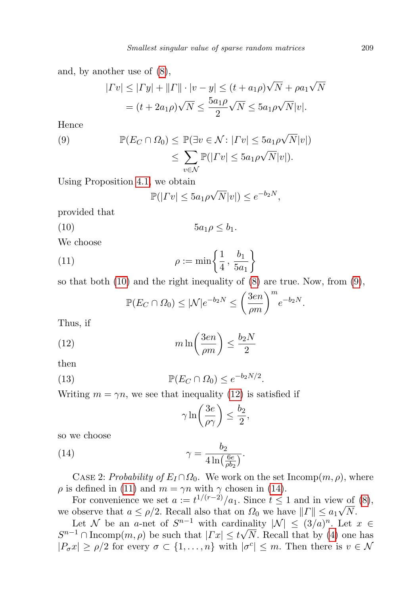and, by another use of [\(8\)](#page-13-0),

$$
|\Gamma v| \le |\Gamma y| + ||\Gamma|| \cdot |v - y| \le (t + a_1 \rho) \sqrt{N} + \rho a_1 \sqrt{N}
$$
  
=  $(t + 2a_1 \rho) \sqrt{N} \le \frac{5a_1 \rho}{2} \sqrt{N} \le 5a_1 \rho \sqrt{N} |v|.$ 

Hence

<span id="page-14-1"></span>(9) 
$$
\mathbb{P}(E_C \cap \Omega_0) \leq \mathbb{P}(\exists v \in \mathcal{N} : |Tv| \leq 5a_1 \rho \sqrt{N}|v|)
$$

$$
\leq \sum_{v \in \mathcal{N}} \mathbb{P}(|Tv| \leq 5a_1 \rho \sqrt{N}|v|).
$$

Using Proposition [4.1,](#page-11-0) we obtain

<span id="page-14-0"></span>
$$
\mathbb{P}(|\Gamma v| \le 5a_1 \rho \sqrt{N} |v|) \le e^{-b_2 N},
$$

provided that

$$
(10) \t\t 5a_1\rho \le b_1.
$$

We choose

(11) 
$$
\rho := \min \left\{ \frac{1}{4}, \frac{b_1}{5a_1} \right\}
$$

so that both  $(10)$  and the right inequality of  $(8)$  are true. Now, from  $(9)$ ,

<span id="page-14-3"></span><span id="page-14-2"></span>
$$
\mathbb{P}(E_C \cap \Omega_0) \le |\mathcal{N}|e^{-b_2N} \le \left(\frac{3en}{\rho m}\right)^m e^{-b_2N}.
$$

Thus, if

(12) 
$$
m \ln \left( \frac{3en}{\rho m} \right) \le \frac{b_2 N}{2}
$$

then

(13) 
$$
\mathbb{P}(E_C \cap \Omega_0) \leq e^{-b_2 N/2}.
$$

Writing  $m = \gamma n$ , we see that inequality [\(12\)](#page-14-2) is satisfied if

<span id="page-14-5"></span><span id="page-14-4"></span>
$$
\gamma \ln \left( \frac{3e}{\rho \gamma} \right) \le \frac{b_2}{2},
$$

so we choose

(14) 
$$
\gamma = \frac{b_2}{4 \ln(\frac{6e}{\rho b_2})}.
$$

CASE 2: Probability of  $E_I \cap \Omega_0$ . We work on the set Incomp $(m, \rho)$ , where  $\rho$  is defined in [\(11\)](#page-14-3) and  $m = \gamma n$  with  $\gamma$  chosen in [\(14\)](#page-14-4).

For convenience we set  $a := t^{1/(r-2)}/a_1$ . Since  $t \leq 1$  and in view of [\(8\)](#page-13-0), we observe that  $a \leq \rho/2$ . Recall also that on  $\Omega_0$  we have  $||\Gamma|| \leq a_1 \sqrt{N}$ .

Let N be an a-net of  $S^{n-1}$  with cardinality  $|\mathcal{N}| \leq (3/a)^n$ . Let  $x \in \mathbb{R}$  $S^{n-1} \cap \text{Incomp}(m, \rho)$  be such that  $|Tx| \leq t\sqrt{N}$ . Recall that by [\(4\)](#page-8-2) one has  $|P_{\sigma}x| \ge \rho/2$  for every  $\sigma \subset \{1,\ldots,n\}$  with  $|\sigma^c| \le m$ . Then there is  $v \in \mathcal{N}$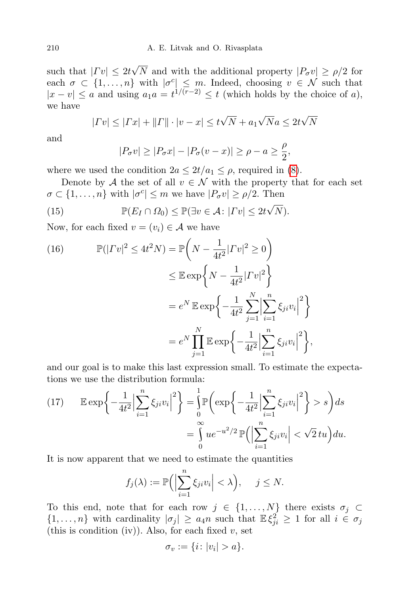such that  $|\Gamma v| \leq 2t$ √ N and with the additional property  $|P_{\sigma}v| \ge \rho/2$  for each  $\sigma \subset \{1, \ldots, n\}$  with  $|\sigma^c| \leq m$ . Indeed, choosing  $v \in \mathcal{N}$  such that  $|x - v| \le a$  and using  $a_1 a = t^{1/(r-2)} \le t$  (which holds by the choice of a), we have

$$
|\Gamma v| \le |\Gamma x| + ||\Gamma|| \cdot |v - x| \le t\sqrt{N} + a_1\sqrt{N}a \le 2t\sqrt{N}
$$

and

<span id="page-15-2"></span>
$$
|P_{\sigma}v| \ge |P_{\sigma}x| - |P_{\sigma}(v-x)| \ge \rho - a \ge \frac{\rho}{2},
$$

where we used the condition  $2a \leq 2t/a_1 \leq \rho$ , required in [\(8\)](#page-13-0).

Denote by A the set of all  $v \in \mathcal{N}$  with the property that for each set  $\sigma \subset \{1, \ldots, n\}$  with  $|\sigma^c| \leq m$  we have  $|P_{\sigma}v| \geq \rho/2$ . Then

(15) 
$$
\mathbb{P}(E_I \cap \Omega_0) \leq \mathbb{P}(\exists v \in \mathcal{A} : |Tv| \leq 2t\sqrt{N}).
$$

Now, for each fixed  $v = (v_i) \in \mathcal{A}$  we have

<span id="page-15-1"></span>(16) 
$$
\mathbb{P}(|Tv|^2 \le 4t^2N) = \mathbb{P}\left(N - \frac{1}{4t^2}|Tv|^2 \ge 0\right)
$$

$$
\le \mathbb{E}\exp\left\{N - \frac{1}{4t^2}|Tv|^2\right\}
$$

$$
= e^N \mathbb{E}\exp\left\{-\frac{1}{4t^2}\sum_{j=1}^N\left|\sum_{i=1}^n\xi_{ji}v_i\right|^2\right\}
$$

$$
= e^N \prod_{j=1}^N \mathbb{E}\exp\left\{-\frac{1}{4t^2}\left|\sum_{i=1}^n\xi_{ji}v_i\right|^2\right\},\
$$

and our goal is to make this last expression small. To estimate the expectations we use the distribution formula:

<span id="page-15-0"></span>(17) 
$$
\mathbb{E} \exp\left\{-\frac{1}{4t^2} \Big|\sum_{i=1}^n \xi_{ji} v_i\Big|^2\right\} = \int_0^1 \mathbb{P}\left(\exp\left\{-\frac{1}{4t^2} \Big|\sum_{i=1}^n \xi_{ji} v_i\Big|^2\right\} > s\right) ds
$$

$$
= \int_0^\infty u e^{-u^2/2} \mathbb{P}\left(\Big|\sum_{i=1}^n \xi_{ji} v_i\Big| < \sqrt{2} \, tu\right) du.
$$

It is now apparent that we need to estimate the quantities

$$
f_j(\lambda) := \mathbb{P}\Big(\Big|\sum_{i=1}^n \xi_{ji} v_i\Big| < \lambda\Big), \quad j \le N.
$$

To this end, note that for each row  $j \in \{1, ..., N\}$  there exists  $\sigma_j \subset$  $\{1,\ldots,n\}$  with cardinality  $|\sigma_j|\geq a_4n$  such that  $\mathbb{E}\xi_{ji}^2\geq 1$  for all  $i\in\sigma_j$ (this is condition (iv)). Also, for each fixed  $v$ , set

$$
\sigma_v := \{i \colon |v_i| > a\}.
$$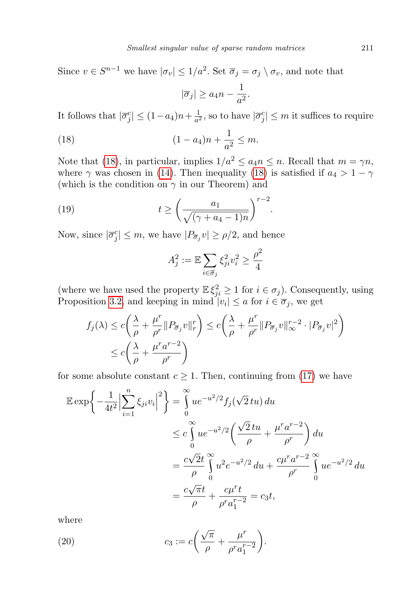Since  $v \in S^{n-1}$  we have  $|\sigma_v| \leq 1/a^2$ . Set  $\overline{\sigma}_j = \sigma_j \setminus \sigma_v$ , and note that

<span id="page-16-0"></span>
$$
|\overline{\sigma}_j| \ge a_4 n - \frac{1}{a^2}.
$$

It follows that  $|\overline{\sigma}_{j}^{c}| \leq (1 - a_{4})n + \frac{1}{a^{2}}$  $\frac{1}{a^2}$ , so to have  $|\overline{\sigma}_j^c| \leq m$  it suffices to require

(18) 
$$
(1 - a_4)n + \frac{1}{a^2} \le m.
$$

Note that [\(18\)](#page-16-0), in particular, implies  $1/a^2 \le a_4 n \le n$ . Recall that  $m = \gamma n$ , where  $\gamma$  was chosen in [\(14\)](#page-14-4). Then inequality [\(18\)](#page-16-0) is satisfied if  $a_4 > 1 - \gamma$ (which is the condition on  $\gamma$  in our Theorem) and

(19) 
$$
t \geq \left(\frac{a_1}{\sqrt{(\gamma + a_4 - 1)n}}\right)^{r-2}.
$$

Now, since  $|\overline{\sigma}_{j}^{c}| \leq m$ , we have  $|P_{\overline{\sigma}_{j}}v| \geq \rho/2$ , and hence

<span id="page-16-1"></span>
$$
A_j^2 := \mathbb{E} \sum_{i \in \overline{\sigma}_j} \xi_{ji}^2 v_i^2 \ge \frac{\rho^2}{4}
$$

(where we have used the property  $\mathbb{E}\xi_{ji}^2 \geq 1$  for  $i \in \sigma_j$ ). Consequently, using Proposition [3.2,](#page-9-0) and keeping in mind  $|v_i| \le a$  for  $i \in \overline{\sigma}_j$ , we get

$$
f_j(\lambda) \le c \left( \frac{\lambda}{\rho} + \frac{\mu^r}{\rho^r} \| P_{\overline{\sigma}_j} v \|_r^r \right) \le c \left( \frac{\lambda}{\rho} + \frac{\mu^r}{\rho^r} \| P_{\overline{\sigma}_j} v \|_{\infty}^{r-2} \cdot | P_{\overline{\sigma}_j} v |^2 \right)
$$
  

$$
\le c \left( \frac{\lambda}{\rho} + \frac{\mu^r a^{r-2}}{\rho^r} \right)
$$

for some absolute constant  $c \geq 1$ . Then, continuing from [\(17\)](#page-15-0) we have

$$
\mathbb{E} \exp \left\{ -\frac{1}{4t^2} \Big| \sum_{i=1}^n \xi_{ji} v_i \Big|^2 \right\} = \int_0^\infty u e^{-u^2/2} f_j(\sqrt{2} \, t u) \, du
$$
  
\n
$$
\leq c \int_0^\infty u e^{-u^2/2} \left( \frac{\sqrt{2} \, t u}{\rho} + \frac{\mu^r a^{r-2}}{\rho^r} \right) du
$$
  
\n
$$
= \frac{c\sqrt{2}t}{\rho} \int_0^\infty u^2 e^{-u^2/2} \, du + \frac{c\mu^r a^{r-2}}{\rho^r} \int_0^\infty u e^{-u^2/2} \, du
$$
  
\n
$$
= \frac{c\sqrt{\pi}t}{\rho} + \frac{c\mu^r t}{\rho^r a_1^{r-2}} = c_3 t,
$$

where

(20) 
$$
c_3 := c \left( \frac{\sqrt{\pi}}{\rho} + \frac{\mu^r}{\rho^r a_1^{r-2}} \right).
$$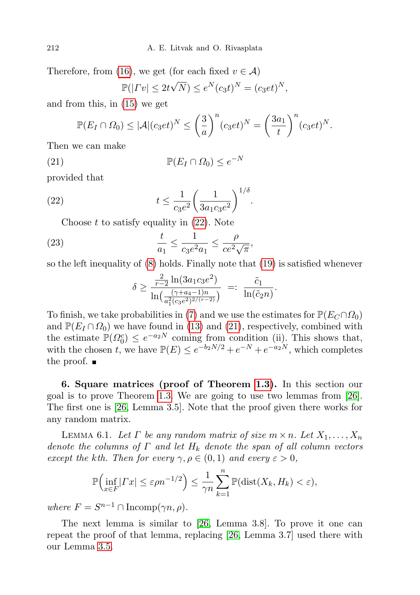Therefore, from [\(16\)](#page-15-1), we get (for each fixed  $v \in \mathcal{A}$ )

<span id="page-17-1"></span>
$$
\mathbb{P}(|Tv| \leq 2t\sqrt{N}) \leq e^N(c_3t)^N = (c_3et)^N,
$$

and from this, in [\(15\)](#page-15-2) we get

$$
\mathbb{P}(E_I \cap \Omega_0) \leq |\mathcal{A}| (c_3 e t)^N \leq \left(\frac{3}{a}\right)^n (c_3 e t)^N = \left(\frac{3a_1}{t}\right)^n (c_3 e t)^N.
$$

Then we can make

(21) 
$$
\mathbb{P}(E_I \cap \Omega_0) \le e^{-N}
$$

provided that

(22) 
$$
t \le \frac{1}{c_3 e^2} \left(\frac{1}{3a_1 c_3 e^2}\right)^{1/\delta}.
$$

Choose  $t$  to satisfy equality in  $(22)$ . Note

(23) 
$$
\frac{t}{a_1} \le \frac{1}{c_3 e^2 a_1} \le \frac{\rho}{ce^2 \sqrt{\pi}},
$$

so the left inequality of [\(8\)](#page-13-0) holds. Finally note that [\(19\)](#page-16-1) is satisfied whenever

<span id="page-17-0"></span>
$$
\delta \ge \frac{\frac{2}{r-2} \ln(3a_1c_3e^2)}{\ln\left(\frac{(\gamma+a_4-1)n}{a_1^2(c_3e^2)^{2/(\gamma-2)}}\right)} =: \frac{\tilde{c}_1}{\ln(\tilde{c}_2 n)}.
$$

To finish, we take probabilities in [\(7\)](#page-13-1) and we use the estimates for  $\mathbb{P}(E_C \cap \Omega_0)$ and  $\mathbb{P}(E_I \cap \Omega_0)$  we have found in [\(13\)](#page-14-5) and [\(21\)](#page-17-1), respectively, combined with the estimate  $\mathbb{P}(\Omega_0^c) \leq e^{-a_2 N}$  coming from condition (ii). This shows that, with the chosen t, we have  $\mathbb{P}(E) \le e^{-b_2 N/2} + e^{-N} + e^{-a_2 N}$ , which completes the proof.  $\blacksquare$ 

6. Square matrices (proof of Theorem [1.3\)](#page-5-1). In this section our goal is to prove Theorem [1.3.](#page-5-1) We are going to use two lemmas from [\[26\]](#page-22-11). The first one is [\[26,](#page-22-11) Lemma 3.5]. Note that the proof given there works for any random matrix.

<span id="page-17-2"></span>LEMMA 6.1. Let  $\Gamma$  be any random matrix of size  $m \times n$ . Let  $X_1, \ldots, X_n$ denote the columns of  $\Gamma$  and let  $H_k$  denote the span of all column vectors except the kth. Then for every  $\gamma, \rho \in (0,1)$  and every  $\varepsilon > 0$ ,

$$
\mathbb{P}\Big(\inf_{x\in F}|Tx| \leq \varepsilon\rho n^{-1/2}\Big) \leq \frac{1}{\gamma n}\sum_{k=1}^n \mathbb{P}(\text{dist}(X_k, H_k) < \varepsilon),
$$

where  $F = S^{n-1} \cap \text{Incomp}(\gamma n, \rho)$ .

The next lemma is similar to [\[26,](#page-22-11) Lemma 3.8]. To prove it one can repeat the proof of that lemma, replacing [\[26,](#page-22-11) Lemma 3.7] used there with our Lemma [3.5.](#page-11-1)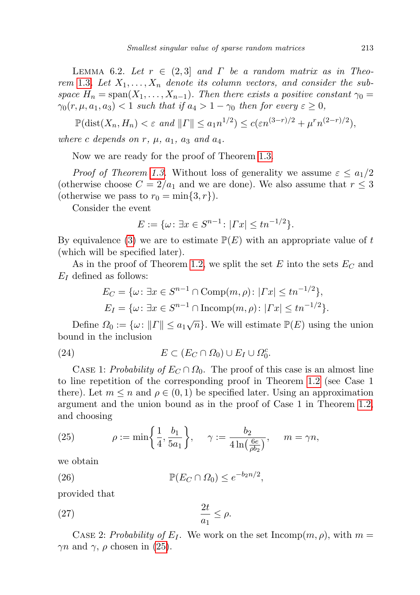<span id="page-18-1"></span>LEMMA 6.2. Let  $r \in (2,3]$  and  $\Gamma$  be a random matrix as in Theo-rem [1.3](#page-5-1). Let  $X_1, \ldots, X_n$  denote its column vectors, and consider the subspace  $H_n = \text{span}(X_1, \ldots, X_{n-1})$ . Then there exists a positive constant  $\gamma_0 =$  $\gamma_0(r, \mu, a_1, a_3) < 1$  such that if  $a_4 > 1 - \gamma_0$  then for every  $\varepsilon \geq 0$ ,

$$
\mathbb{P}(\text{dist}(X_n, H_n) < \varepsilon \text{ and } ||T|| \le a_1 n^{1/2}) \le c(\varepsilon n^{(3-r)/2} + \mu^r n^{(2-r)/2}),
$$

where c depends on r,  $\mu$ ,  $a_1$ ,  $a_3$  and  $a_4$ .

Now we are ready for the proof of Theorem [1.3.](#page-5-1)

*Proof of Theorem [1.3.](#page-5-1)* Without loss of generality we assume  $\varepsilon \leq a_1/2$ (otherwise choose  $C = 2/a_1$  and we are done). We also assume that  $r \leq 3$ (otherwise we pass to  $r_0 = \min\{3, r\}$ ).

Consider the event

$$
E := \{ \omega \colon \exists x \in S^{n-1} \colon |Tx| \le tn^{-1/2} \}.
$$

By equivalence [\(3\)](#page-6-1) we are to estimate  $\mathbb{P}(E)$  with an appropriate value of t (which will be specified later).

As in the proof of Theorem [1.2,](#page-4-0) we split the set E into the sets  $E_C$  and  $E_I$  defined as follows:

<span id="page-18-3"></span>
$$
E_C = \{ \omega \colon \exists x \in S^{n-1} \cap \text{Comp}(m, \rho) \colon |Tx| \le tn^{-1/2} \},
$$
  
\n
$$
E_I = \{ \omega \colon \exists x \in S^{n-1} \cap \text{Incomp}(m, \rho) \colon |Tx| \le tn^{-1/2} \}.
$$

Define  $\Omega_0 := \{ \omega : ||\Gamma|| \le a_1 \sqrt{n} \}$ . We will estimate  $\mathbb{P}(E)$  using the union bound in the inclusion

(24) 
$$
E \subset (E_C \cap \Omega_0) \cup E_I \cup \Omega_0^c.
$$

CASE 1: Probability of  $E_C \cap \Omega_0$ . The proof of this case is an almost line to line repetition of the corresponding proof in Theorem [1.2](#page-4-0) (see Case 1 there). Let  $m \leq n$  and  $\rho \in (0, 1)$  be specified later. Using an approximation argument and the union bound as in the proof of Case 1 in Theorem [1.2,](#page-4-0) and choosing

<span id="page-18-0"></span>(25) 
$$
\rho := \min\left\{\frac{1}{4}, \frac{b_1}{5a_1}\right\}, \quad \gamma := \frac{b_2}{4\ln(\frac{6e}{\rho b_2})}, \quad m = \gamma n,
$$

we obtain

<span id="page-18-4"></span>(26) 
$$
\mathbb{P}(E_C \cap \Omega_0) \leq e^{-b_2 n/2},
$$

provided that

<span id="page-18-2"></span>
$$
\frac{2t}{a_1} \le \rho.
$$

CASE 2: Probability of  $E_I$ . We work on the set Incomp $(m, \rho)$ , with  $m =$  $\gamma n$  and  $\gamma$ ,  $\rho$  chosen in [\(25\)](#page-18-0).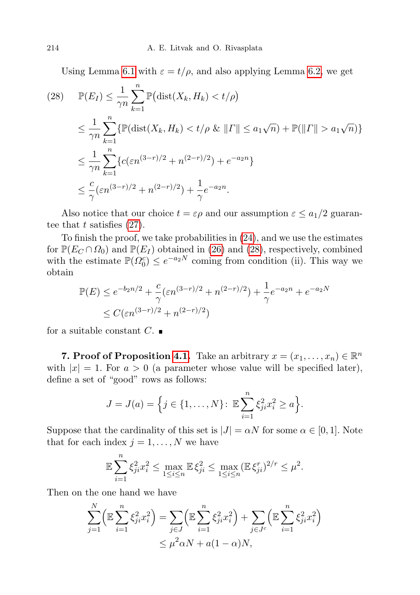Using Lemma [6.1](#page-17-2) with  $\varepsilon = t/\rho$ , and also applying Lemma [6.2,](#page-18-1) we get

<span id="page-19-0"></span>(28) 
$$
\mathbb{P}(E_I) \leq \frac{1}{\gamma n} \sum_{k=1}^n \mathbb{P}(\text{dist}(X_k, H_k) < t/\rho)
$$
\n
$$
\leq \frac{1}{\gamma n} \sum_{k=1}^n \{ \mathbb{P}(\text{dist}(X_k, H_k) < t/\rho \& \|I\| \leq a_1 \sqrt{n}) + \mathbb{P}(\|I\| > a_1 \sqrt{n}) \}
$$
\n
$$
\leq \frac{1}{\gamma n} \sum_{k=1}^n \{ c(\varepsilon n^{(3-r)/2} + n^{(2-r)/2}) + e^{-a_2 n} \}
$$
\n
$$
\leq \frac{c}{\gamma} (\varepsilon n^{(3-r)/2} + n^{(2-r)/2}) + \frac{1}{\gamma} e^{-a_2 n}.
$$

Also notice that our choice  $t = \varepsilon \rho$  and our assumption  $\varepsilon \le a_1/2$  guarantee that t satisfies  $(27)$ .

To finish the proof, we take probabilities in [\(24\)](#page-18-3), and we use the estimates for  $\mathbb{P}(E_C \cap \Omega_0)$  and  $\mathbb{P}(E_I)$  obtained in [\(26\)](#page-18-4) and [\(28\)](#page-19-0), respectively, combined with the estimate  $\mathbb{P}(\Omega_0^c) \leq e^{-a_2 N}$  coming from condition (ii). This way we obtain

$$
\mathbb{P}(E) \le e^{-b_2 n/2} + \frac{c}{\gamma} (\varepsilon n^{(3-r)/2} + n^{(2-r)/2}) + \frac{1}{\gamma} e^{-a_2 n} + e^{-a_2 N}
$$
  
 
$$
\le C(\varepsilon n^{(3-r)/2} + n^{(2-r)/2})
$$

for a suitable constant  $C$ .

**7. Proof of Proposition [4.1.](#page-11-0)** Take an arbitrary  $x = (x_1, \ldots, x_n) \in \mathbb{R}^n$ with  $|x| = 1$ . For  $a > 0$  (a parameter whose value will be specified later), define a set of "good" rows as follows:

$$
J = J(a) = \Big\{ j \in \{1, ..., N\} \colon \mathbb{E} \sum_{i=1}^{n} \xi_{ji}^{2} x_{i}^{2} \geq a \Big\}.
$$

Suppose that the cardinality of this set is  $|J| = \alpha N$  for some  $\alpha \in [0,1]$ . Note that for each index  $j = 1, \ldots, N$  we have

$$
\mathbb{E}\sum_{i=1}^{n}\xi_{ji}^{2}x_{i}^{2} \le \max_{1\le i\le n}\mathbb{E}\xi_{ji}^{2} \le \max_{1\le i\le n}(\mathbb{E}\xi_{ji}^{r})^{2/r} \le \mu^{2}.
$$

Then on the one hand we have

$$
\sum_{j=1}^{N} \left( \mathbb{E} \sum_{i=1}^{n} \xi_{ji}^{2} x_{i}^{2} \right) = \sum_{j \in J} \left( \mathbb{E} \sum_{i=1}^{n} \xi_{ji}^{2} x_{i}^{2} \right) + \sum_{j \in J^{c}} \left( \mathbb{E} \sum_{i=1}^{n} \xi_{ji}^{2} x_{i}^{2} \right) \le \mu^{2} \alpha N + a(1-\alpha)N,
$$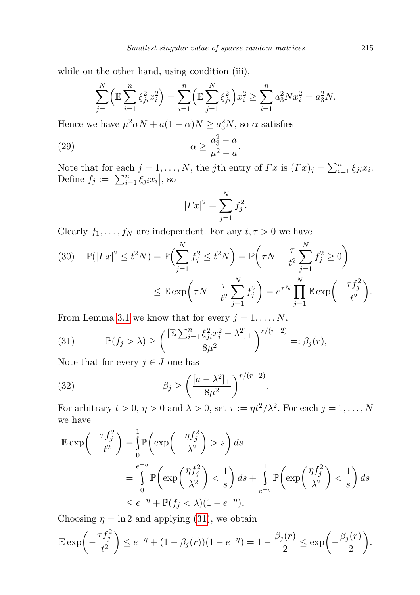while on the other hand, using condition (iii),

$$
\sum_{j=1}^{N} \left( \mathbb{E} \sum_{i=1}^{n} \xi_{ji}^{2} x_{i}^{2} \right) = \sum_{i=1}^{n} \left( \mathbb{E} \sum_{j=1}^{N} \xi_{ji}^{2} \right) x_{i}^{2} \ge \sum_{i=1}^{n} a_{3}^{2} N x_{i}^{2} = a_{3}^{2} N.
$$

Hence we have  $\mu^2 \alpha N + a(1 - \alpha)N \ge a_3^2 N$ , so  $\alpha$  satisfies

$$
\alpha \ge \frac{a_3^2 - a}{\mu^2 - a}.
$$

Note that for each  $j = 1, ..., N$ , the jth entry of  $\Gamma x$  is  $(\Gamma x)_j = \sum_{i=1}^n \xi_{ji} x_i$ . Define  $f_j := \left| \sum_{i=1}^n \xi_{ji} x_i \right|$ , so

<span id="page-20-3"></span>
$$
|\Gamma x|^2 = \sum_{j=1}^{N} f_j^2.
$$

Clearly  $f_1, \ldots, f_N$  are independent. For any  $t, \tau > 0$  we have

<span id="page-20-1"></span>(30) 
$$
\mathbb{P}(|Tx|^2 \le t^2 N) = \mathbb{P}\Big(\sum_{j=1}^N f_j^2 \le t^2 N\Big) = \mathbb{P}\Big(\tau N - \frac{\tau}{t^2} \sum_{j=1}^N f_j^2 \ge 0\Big)
$$

$$
\le \mathbb{E} \exp\Big(\tau N - \frac{\tau}{t^2} \sum_{j=1}^N f_j^2\Big) = e^{\tau N} \prod_{j=1}^N \mathbb{E} \exp\Big(-\frac{\tau f_j^2}{t^2}\Big).
$$

From Lemma [3.1](#page-8-3) we know that for every  $j = 1, \ldots, N$ ,

<span id="page-20-0"></span>(31) 
$$
\mathbb{P}(f_j > \lambda) \ge \left(\frac{[\mathbb{E} \sum_{i=1}^n \xi_{ji}^2 x_i^2 - \lambda^2]_+}{8\mu^2}\right)^{r/(r-2)} =: \beta_j(r),
$$

Note that for every  $j \in J$  one has

<span id="page-20-2"></span>(32) 
$$
\beta_j \ge \left(\frac{[a-\lambda^2]_+}{8\mu^2}\right)^{r/(r-2)}
$$

For arbitrary  $t > 0$ ,  $\eta > 0$  and  $\lambda > 0$ , set  $\tau := \eta t^2 / \lambda^2$ . For each  $j = 1, \ldots, N$ we have

.

$$
\mathbb{E} \exp\left(-\frac{\tau f_j^2}{t^2}\right) = \int_0^1 \mathbb{P}\left(\exp\left(-\frac{\eta f_j^2}{\lambda^2}\right) > s\right) ds
$$
\n
$$
= \int_0^{e-\eta} \mathbb{P}\left(\exp\left(\frac{\eta f_j^2}{\lambda^2}\right) < \frac{1}{s}\right) ds + \int_{e-\eta}^1 \mathbb{P}\left(\exp\left(\frac{\eta f_j^2}{\lambda^2}\right) < \frac{1}{s}\right) ds
$$
\n
$$
\leq e^{-\eta} + \mathbb{P}(f_j < \lambda)(1 - e^{-\eta}).
$$

Choosing  $\eta = \ln 2$  and applying [\(31\)](#page-20-0), we obtain

$$
\mathbb{E} \exp \left(-\frac{\tau f_j^2}{t^2}\right) \le e^{-\eta} + (1 - \beta_j(r))(1 - e^{-\eta}) = 1 - \frac{\beta_j(r)}{2} \le \exp \left(-\frac{\beta_j(r)}{2}\right).
$$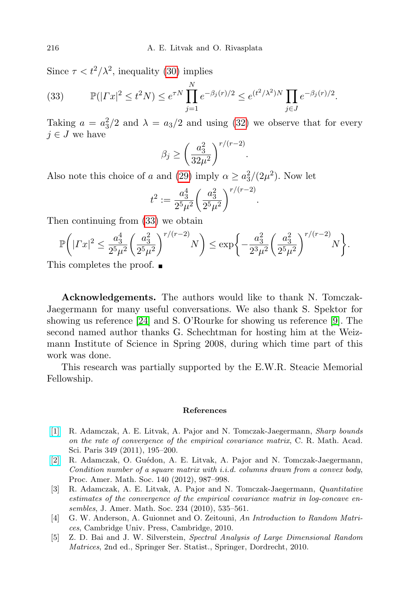Since  $\tau < t^2/\lambda^2$ , inequality [\(30\)](#page-20-1) implies

<span id="page-21-5"></span>(33) 
$$
\mathbb{P}(|Tx|^2 \le t^2 N) \le e^{\tau N} \prod_{j=1}^N e^{-\beta_j(r)/2} \le e^{(t^2/\lambda^2)N} \prod_{j \in J} e^{-\beta_j(r)/2}.
$$

Taking  $a = a_3^2/2$  and  $\lambda = a_3/2$  and using [\(32\)](#page-20-2) we observe that for every  $j \in J$  we have

$$
\beta_j \ge \left(\frac{a_3^2}{32\mu^2}\right)^{r/(r-2)}.
$$

Also note this choice of a and [\(29\)](#page-20-3) imply  $\alpha \geq a_3^2/(2\mu^2)$ . Now let

$$
t^2 := \frac{a_3^4}{2^5 \mu^2} \left(\frac{a_3^2}{2^5 \mu^2}\right)^{r/(r-2)}
$$

.

Then continuing from [\(33\)](#page-21-5) we obtain

$$
\mathbb{P}\bigg( |Tx|^2 \le \frac{a_3^4}{2^5 \mu^2} \bigg( \frac{a_3^2}{2^5 \mu^2} \bigg)^{r/(r-2)} N \bigg) \le \exp\bigg\{ -\frac{a_3^2}{2^3 \mu^2} \bigg( \frac{a_3^2}{2^5 \mu^2} \bigg)^{r/(r-2)} N \bigg\}.
$$

This completes the proof. ■

Acknowledgements. The authors would like to thank N. Tomczak-Jaegermann for many useful conversations. We also thank S. Spektor for showing us reference [\[24\]](#page-22-21) and S. O'Rourke for showing us reference [\[9\]](#page-22-1). The second named author thanks G. Schechtman for hosting him at the Weizmann Institute of Science in Spring 2008, during which time part of this work was done.

This research was partially supported by the E.W.R. Steacie Memorial Fellowship.

## References

- <span id="page-21-4"></span>[\[1\]](http://dx.doi.org/10.1016/j.crma.2010.12.014) R. Adamczak, A. E. Litvak, A. Pajor and N. Tomczak-Jaegermann, Sharp bounds on the rate of convergence of the empirical covariance matrix, C. R. Math. Acad. Sci. Paris 349 (2011), 195–200.
- <span id="page-21-2"></span>[\[2\]](http://dx.doi.org/10.1090/S0002-9939-2011-10994-8) R. Adamczak, O. Guédon, A. E. Litvak, A. Pajor and N. Tomczak-Jaegermann, Condition number of a square matrix with i.i.d. columns drawn from a convex body, Proc. Amer. Math. Soc. 140 (2012), 987–998.
- <span id="page-21-3"></span>[3] R. Adamczak, A. E. Litvak, A. Pajor and N. Tomczak-Jaegermann, Quantitative estimates of the convergence of the empirical covariance matrix in log-concave ensembles, J. Amer. Math. Soc. 234 (2010), 535–561.
- <span id="page-21-1"></span>[4] G. W. Anderson, A. Guionnet and O. Zeitouni, An Introduction to Random Matrices, Cambridge Univ. Press, Cambridge, 2010.
- <span id="page-21-0"></span>[5] Z. D. Bai and J. W. Silverstein, Spectral Analysis of Large Dimensional Random Matrices, 2nd ed., Springer Ser. Statist., Springer, Dordrecht, 2010.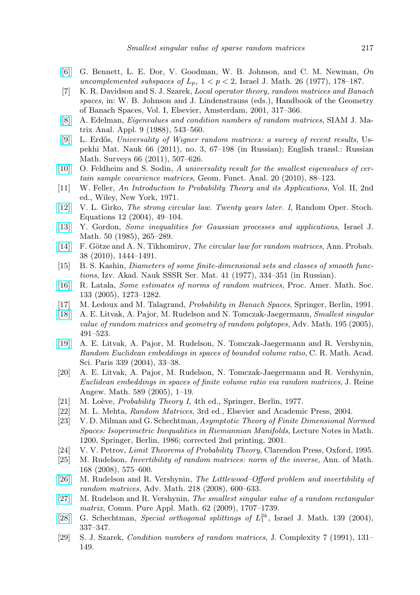- <span id="page-22-14"></span>[\[6\]](http://dx.doi.org/10.1007/BF03007667) G. Bennett, L. E. Dor, V. Goodman, W. B. Johnson, and C. M. Newman, On uncomplemented subspaces of  $L_p$ ,  $1 < p < 2$ , Israel J. Math. 26 (1977), 178-187.
- <span id="page-22-8"></span>[7] K. R. Davidson and S. J. Szarek, Local operator theory, random matrices and Banach spaces, in: W. B. Johnson and J. Lindenstrauss (eds.), Handbook of the Geometry of Banach Spaces, Vol. I, Elsevier, Amsterdam, 2001, 317–366.
- <span id="page-22-5"></span>[\[8\]](http://dx.doi.org/10.1137/0609045) A. Edelman, Eigenvalues and condition numbers of random matrices, SIAM J. Matrix Anal. Appl. 9 (1988), 543–560.
- <span id="page-22-1"></span>[\[9\]](http://dx.doi.org/10.1070/RM2011v066n03ABEH004749) L. Erdős, Universality of Wigner random matrices: a survey of recent results, Uspekhi Mat. Nauk 66 (2011), no. 3, 67–198 (in Russian); English transl.: Russian Math. Surveys 66 (2011), 507–626.
- <span id="page-22-2"></span>[\[10\]](http://dx.doi.org/10.1007/s00039-010-0055-x) O. Feldheim and S. Sodin, A universality result for the smallest eigenvalues of certain sample covarience matrices, Geom. Funct. Anal. 20 (2010), 88–123.
- <span id="page-22-19"></span>[11] W. Feller, An Introduction to Probability Theory and its Applications, Vol. II, 2nd ed., Wiley, New York, 1971.
- <span id="page-22-3"></span>[\[12\]](http://dx.doi.org/10.1515/156939704323067834) V. L. Girko, The strong circular law. Twenty years later. I, Random Oper. Stoch. Equations 12 (2004), 49–104.
- <span id="page-22-7"></span>[\[13\]](http://dx.doi.org/10.1007/BF02759761) Y. Gordon, Some inequalities for Gaussian processes and applications, Israel J. Math. 50 (1985), 265–289.
- <span id="page-22-0"></span>[\[14\]](http://dx.doi.org/10.1214/09-AOP522) F. Götze and A. N. Tikhomirov, *The circular law for random matrices*, Ann. Probab. 38 (2010), 1444–1491.
- <span id="page-22-16"></span>[15] B. S. Kashin, Diameters of some finite-dimensional sets and classes of smooth functions, Izv. Akad. Nauk SSSR Ser. Mat. 41 (1977), 334–351 (in Russian).
- <span id="page-22-13"></span>[\[16\]](http://dx.doi.org/10.1090/S0002-9939-04-07800-1) R. Latala, *Some estimates of norms of random matrices*, Proc. Amer. Math. Soc. 133 (2005), 1273–1282.
- <span id="page-22-22"></span>[17] M. Ledoux and M. Talagrand, Probability in Banach Spaces, Springer, Berlin, 1991.
- <span id="page-22-9"></span>[\[18\]](http://dx.doi.org/10.1016/j.aim.2004.08.004) A. E. Litvak, A. Pajor, M. Rudelson and N. Tomczak-Jaegermann, Smallest singular value of random matrices and geometry of random polytopes, Adv. Math. 195 (2005), 491–523.
- <span id="page-22-18"></span>[\[19\]](http://dx.doi.org/10.1016/j.crma.2004.04.019) A. E. Litvak, A. Pajor, M. Rudelson, N. Tomczak-Jaegermann and R. Vershynin, Random Euclidean embeddings in spaces of bounded volume ratio, C. R. Math. Acad. Sci. Paris 339 (2004), 33–38.
- <span id="page-22-23"></span>[20] A. E. Litvak, A. Pajor, M. Rudelson, N. Tomczak-Jaegermann and R. Vershynin, Euclidean embeddings in spaces of finite volume ratio via random matrices, J. Reine Angew. Math. 589 (2005), 1–19.
- <span id="page-22-20"></span>[21] M. Loève, *Probability Theory I*, 4th ed., Springer, Berlin, 1977.
- <span id="page-22-4"></span>[22] M. L. Mehta, Random Matrices, 3rd ed., Elsevier and Academic Press, 2004.
- <span id="page-22-15"></span>[23] V. D. Milman and G. Schechtman,Asymptotic Theory of Finite Dimensional Normed Spaces: Isoperimetric Inequalities in Riemannian Manifolds, Lecture Notes in Math. 1200, Springer, Berlin, 1986; corrected 2nd printing, 2001.
- <span id="page-22-21"></span>[24] V. V. Petrov, Limit Theorems of Probability Theory, Clarendon Press, Oxford, 1995.
- <span id="page-22-10"></span>[25] M. Rudelson, *Invertibility of random matrices: norm of the inverse*, Ann. of Math. 168 (2008), 575–600.
- <span id="page-22-11"></span>[\[26\]](http://dx.doi.org/10.1016/j.aim.2008.01.010) M. Rudelson and R. Vershynin, The Littlewood–Offord problem and invertibility of random matrices, Adv. Math. 218 (2008), 600–633.
- <span id="page-22-12"></span>[\[27\]](http://dx.doi.org/10.1002/cpa.20294) M. Rudelson and R. Vershynin, The smallest singular value of a random rectangular matrix, Comm. Pure Appl. Math. 62 (2009), 1707–1739.
- <span id="page-22-17"></span>[\[28\]](http://dx.doi.org/10.1007/BF02787555) G. Schechtman, Special orthogonal splittings of  $L_1^{2k}$ , Israel J. Math. 139 (2004), 337–347.
- <span id="page-22-6"></span>[29] S. J. Szarek, Condition numbers of random matrices, J. Complexity 7 (1991), 131– 149.